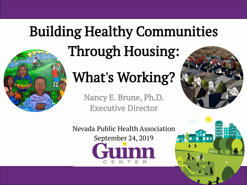#### Building Healthy Communities



## Through Housing:

### What's Working?

Nancy E. Brune, Ph.D. Executive Director



Nevada Public Health Association September 24, 2019

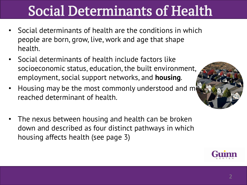#### Social Determinants of Health

- Social determinants of health are the conditions in which people are born, grow, live, work and age that shape health.
- Social determinants of health include factors like socioeconomic status, education, the built environment, employment, social support networks, and **housing**.
- Housing may be the most commonly understood and m reached determinant of health.
- The nexus between housing and health can be broken down and described as four distinct pathways in which housing affects health (see page 3)



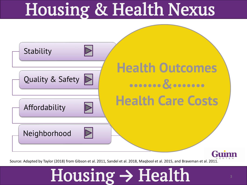## Housing & Health Nexus



Source: Adapted by Taylor (2018) from Gibson et al. 2011, Sandel et al. 2018, Maqbool et al. 2015, and Braveman et al. 2011.

## Housing **→** Health <sup>3</sup>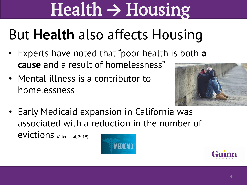# Health **→** Housing

#### But **Health** also affects Housing

- Experts have noted that "poor health is both **a cause** and a result of homelessness"
- Mental illness is a contributor to homelessness



• Early Medicaid expansion in California was associated with a reduction in the number of evictions (Allen et al, 2019)



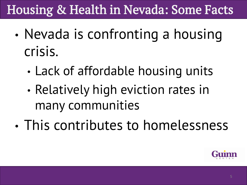#### Housing & Health in Nevada: Some Facts

- Nevada is confronting a housing crisis.
	- Lack of affordable housing units
	- Relatively high eviction rates in many communities
- This contributes to homelessness

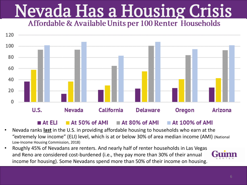# **Nevada Has a Housing Crisis**



#### $\blacksquare$  At ELI  $\blacksquare$  At 50% of AMI  $\blacksquare$  At 80% of AMI  $\blacksquare$  At 100% of AMI

- Nevada ranks **last** in the U.S. in providing affordable housing to households who earn at the "extremely low income" (ELI) level, which is at or below 30% of area median income (AMI) (National Low-Income Housing Commission, 2018)
- Roughly 45% of Nevadans are renters. And nearly half of renter households in Las Vegas and Reno are considered cost-burdened (i.e., they pay more than 30% of their annual income for housing). Some Nevadans spend more than 50% of their income on housing.

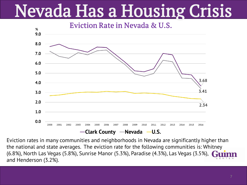## Nevada Has a Housing Crisis

Eviction Rate in Nevada & U.S.



Eviction rates in many communities and neighborhoods in Nevada are significantly higher than the national and state averages. The eviction rate for the following communities is: Whitney (6.8%), North Las Vegas (5.8%), Sunrise Manor (5.3%), Paradise (4.3%), Las Vegas (3.5%), and Henderson (3.2%).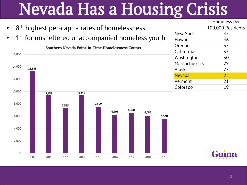## Nevada Has a Housing Crisis

|                                                                  |                      | Homeless per      |
|------------------------------------------------------------------|----------------------|-------------------|
| $\cdot$ 8 <sup>th</sup> highest per-capita rates of homelessness |                      | 100,000 Residents |
|                                                                  | New York             | 47                |
| • 1 <sup>st</sup> for unsheltered unaccompanied homeless youth   | Hawaii               | 46                |
| Southern Nevada Point-in-Time Homelessness Counts                | Oregon               | 35                |
| 16,000                                                           | California           | 33                |
|                                                                  | Washington           | 30                |
| 14,000                                                           | <b>Massachusetts</b> | 29                |
| 13,338                                                           | Alaska               | 27                |
|                                                                  | <b>Nevada</b>        | 25                |
| 12,000                                                           | Vermont              | 21                |
|                                                                  | Colorado             | 19                |



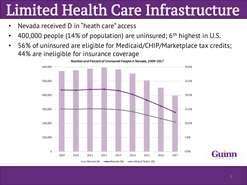## Limited Health Care Infrastructure

- Nevada received D in "heath care" access
- 400,000 people (14% of population) are uninsured;  $6<sup>th</sup>$  highest in U.S.
- 56% of uninsured are eligible for Medicaid/CHIP/Marketplace tax credits; 44% are ineligible for insurance coverage

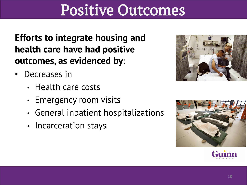#### Positive Outcomes

**Efforts to integrate housing and health care have had positive outcomes, as evidenced by**:

- Decreases in
	- Health care costs
	- Emergency room visits
	- General inpatient hospitalizations
	- Incarceration stays





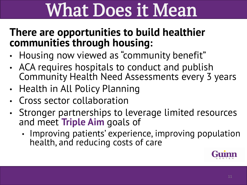## What Does it Mean

#### **There are opportunities to build healthier communities through housing:**

- Housing now viewed as "community benefit"
- ACA requires hospitals to conduct and publish Community Health Need Assessments every 3 years
- Health in All Policy Planning
- Cross sector collaboration
- Stronger partnerships to leverage limited resources and meet **Triple Aim** goals of
	- Improving patients' experience, improving population health, and reducing costs of care

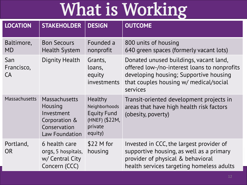## What is Working

| <b>LOCATION</b>         | <b>STAKEHOLDER</b>                                                                               | <b>DESIGN</b>                                                                                 | <b>OUTCOME</b>                                                                                                                                                                         |
|-------------------------|--------------------------------------------------------------------------------------------------|-----------------------------------------------------------------------------------------------|----------------------------------------------------------------------------------------------------------------------------------------------------------------------------------------|
| Baltimore,<br><b>MD</b> | <b>Bon Secours</b><br><b>Health System</b>                                                       | Founded a<br>nonprofit                                                                        | 800 units of housing<br>640 green spaces (formerly vacant lots)                                                                                                                        |
| San<br>Francisco,<br>CA | Dignity Health                                                                                   | Grants,<br>loans,<br>equity<br>investments                                                    | Donated unused buildings, vacant land,<br>offered low-/no-interest loans to nonprofits<br>developing housing; Supportive housing<br>that couples housing w/ medical/social<br>services |
| <b>Massachusetts</b>    | Massachusetts<br>Housing<br>Investment<br>Corporation &<br>Conservation<br><b>Law Foundation</b> | <b>Healthy</b><br>Neighborhoods<br><b>Equity Fund</b><br>(HNEF) (\$22M,<br>private<br>equity) | Transit-oriented development projects in<br>areas that have high health risk factors<br>(obesity, poverty)                                                                             |
| Portland,<br><b>OR</b>  | 6 health care<br>orgs, 5 hospitals,<br>w/ Central City<br>Concern (CCC)                          | $$22$ M for<br>housing                                                                        | Invested in CCC, the largest provider of<br>supportive housing, as well as a primary<br>provider of physical & behavioral<br>health services targeting homeless adults                 |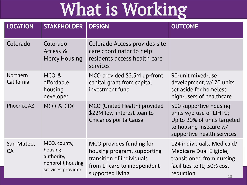## What is Working

| <b>LOCATION</b>               | <b>STAKEHOLDER</b>                                                              | <b>DESIGN</b>                                                                                                                           | <b>OUTCOME</b>                                                                                                                           |
|-------------------------------|---------------------------------------------------------------------------------|-----------------------------------------------------------------------------------------------------------------------------------------|------------------------------------------------------------------------------------------------------------------------------------------|
| Colorado                      | Colorado<br>Access &<br><b>Mercy Housing</b>                                    | Colorado Access provides site<br>care coordinator to help<br>residents access health care<br>services                                   |                                                                                                                                          |
| <b>Northern</b><br>California | MCO &<br>affordable<br>housing<br>developer                                     | MCO provided \$2.5M up-front<br>capital grant from capital<br>investment fund                                                           | 90-unit mixed-use<br>development, w/ 20 units<br>set aside for homeless<br>high-users of healthcare                                      |
| Phoenix, AZ                   | MCO & CDC                                                                       | MCO (United Health) provided<br>\$22M low-interest loan to<br>Chicanos por la Causa                                                     | 500 supportive housing<br>units w/o use of LIHTC;<br>Up to 20% of units targeted<br>to housing insecure w/<br>supportive health services |
| San Mateo,<br>CA              | MCO, county,<br>housing<br>authority,<br>nonprofit housing<br>services provider | MCO provides funding for<br>housing program, supporting<br>transition of individuals<br>from LT care to independent<br>supported living | 124 individuals, Medicaid/<br>Medicare Dual Eligible,<br>transitioned from nursing<br>facilities to IL; 50% cost<br>reduction<br>13      |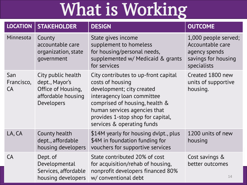## What is Working

| <b>LOCATION</b>                | <b>STAKEHOLDER</b>                                                                             | <b>DESIGN</b>                                                                                                                                                                                                                                            | <b>OUTCOME</b>                                                                                  |
|--------------------------------|------------------------------------------------------------------------------------------------|----------------------------------------------------------------------------------------------------------------------------------------------------------------------------------------------------------------------------------------------------------|-------------------------------------------------------------------------------------------------|
| Minnesota                      | County<br>accountable care<br>organization, state<br>government                                | State gives income<br>supplement to homeless<br>for housing/personal needs,<br>supplemented w/ Medicaid & grants<br>for services                                                                                                                         | 1,000 people served;<br>Accountable care<br>agency spends<br>savings for housing<br>specialists |
| San<br>Francisco,<br><b>CA</b> | City public health<br>dept., Mayor's<br>Office of Housing,<br>affordable housing<br>Developers | City contributes to up-front capital<br>costs of housing<br>development; city created<br>interagency loan committee<br>comprised of housing, health &<br>human services agencies that<br>provides 1-stop shop for capital,<br>services & operating funds | Created 1800 new<br>units of supportive<br>housing.                                             |
| LA, CA                         | County health<br>dept., affordable<br>housing developers                                       | \$14M yearly for housing dylpt., plus<br>\$4M in foundation funding for<br>vouchers for supportive services                                                                                                                                              | 1200 units of new<br>housing                                                                    |
| CA                             | Dept. of<br>Developmental<br>Services, affordable<br>housing developers                        | State contributed 20% of cost<br>for acquisition/rehab of housing,<br>nonprofit developers financed 80%<br>w/ conventional debt                                                                                                                          | Cost savings &<br>better outcomes<br>14                                                         |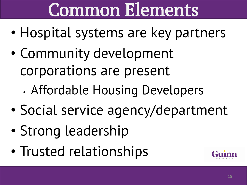## Common Elements

- Hospital systems are key partners
- Community development corporations are present
	- Affordable Housing Developers
- Social service agency/department
- Strong leadership
- Trusted relationships

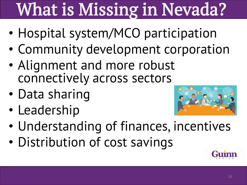# What is Missing in Nevada?

- Hospital system/MCO participation
- Community development corporation
- Alignment and more robust connectively across sectors
- Data sharing
- Leadership



- Understanding of finances, incentives
- Distribution of cost savings

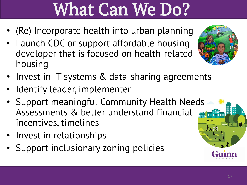## What Can We Do?

- (Re) Incorporate health into urban planning
- Launch CDC or support affordable housing developer that is focused on health-related housing
- Invest in IT systems & data-sharing agreements
- Identify leader, implementer
- Support meaningful Community Health Needs Assessments & better understand financial incentives, timelines
- Invest in relationships
- Support inclusionary zoning policies